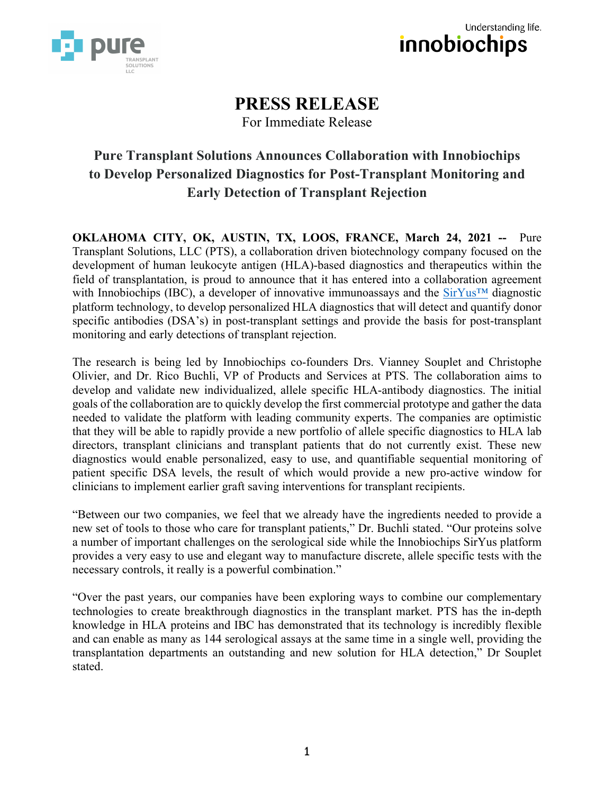



# **PRESS RELEASE**

For Immediate Release

## **Pure Transplant Solutions Announces Collaboration with Innobiochips to Develop Personalized Diagnostics for Post-Transplant Monitoring and Early Detection of Transplant Rejection**

**OKLAHOMA CITY, OK, AUSTIN, TX, LOOS, FRANCE, March 24, 2021 --** Pure Transplant Solutions, LLC (PTS), a collaboration driven biotechnology company focused on the development of human leukocyte antigen (HLA)-based diagnostics and therapeutics within the field of transplantation, is proud to announce that it has entered into a collaboration agreement with Innobiochips (IBC), a developer of innovative immunoassays and the SirYus<sup>™</sup> diagnostic platform technology, to develop personalized HLA diagnostics that will detect and quantify donor specific antibodies (DSA's) in post-transplant settings and provide the basis for post-transplant monitoring and early detections of transplant rejection.

The research is being led by Innobiochips co-founders Drs. Vianney Souplet and Christophe Olivier, and Dr. Rico Buchli, VP of Products and Services at PTS. The collaboration aims to develop and validate new individualized, allele specific HLA-antibody diagnostics. The initial goals of the collaboration are to quickly develop the first commercial prototype and gather the data needed to validate the platform with leading community experts. The companies are optimistic that they will be able to rapidly provide a new portfolio of allele specific diagnostics to HLA lab directors, transplant clinicians and transplant patients that do not currently exist. These new diagnostics would enable personalized, easy to use, and quantifiable sequential monitoring of patient specific DSA levels, the result of which would provide a new pro-active window for clinicians to implement earlier graft saving interventions for transplant recipients.

"Between our two companies, we feel that we already have the ingredients needed to provide a new set of tools to those who care for transplant patients," Dr. Buchli stated. "Our proteins solve a number of important challenges on the serological side while the Innobiochips SirYus platform provides a very easy to use and elegant way to manufacture discrete, allele specific tests with the necessary controls, it really is a powerful combination."

"Over the past years, our companies have been exploring ways to combine our complementary technologies to create breakthrough diagnostics in the transplant market. PTS has the in-depth knowledge in HLA proteins and IBC has demonstrated that its technology is incredibly flexible and can enable as many as 144 serological assays at the same time in a single well, providing the transplantation departments an outstanding and new solution for HLA detection," Dr Souplet stated.